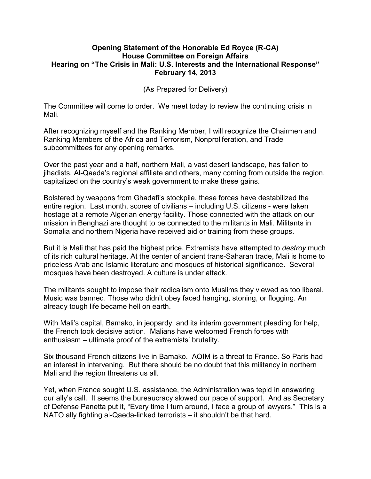## **Opening Statement of the Honorable Ed Royce (R-CA) House Committee on Foreign Affairs Hearing on "The Crisis in Mali: U.S. Interests and the International Response" February 14, 2013**

(As Prepared for Delivery)

The Committee will come to order. We meet today to review the continuing crisis in Mali.

After recognizing myself and the Ranking Member, I will recognize the Chairmen and Ranking Members of the Africa and Terrorism, Nonproliferation, and Trade subcommittees for any opening remarks.

Over the past year and a half, northern Mali, a vast desert landscape, has fallen to jihadists. Al-Qaeda's regional affiliate and others, many coming from outside the region, capitalized on the country's weak government to make these gains.

Bolstered by weapons from Ghadafi's stockpile, these forces have destabilized the entire region. Last month, scores of civilians – including U.S. citizens - were taken hostage at a remote Algerian energy facility. Those connected with the attack on our mission in Benghazi are thought to be connected to the militants in Mali. Militants in Somalia and northern Nigeria have received aid or training from these groups.

But it is Mali that has paid the highest price. Extremists have attempted to *destroy* much of its rich cultural heritage. At the center of ancient trans-Saharan trade, Mali is home to priceless Arab and Islamic literature and mosques of historical significance. Several mosques have been destroyed. A culture is under attack.

The militants sought to impose their radicalism onto Muslims they viewed as too liberal. Music was banned. Those who didn't obey faced hanging, stoning, or flogging. An already tough life became hell on earth.

With Mali's capital, Bamako, in jeopardy, and its interim government pleading for help, the French took decisive action. Malians have welcomed French forces with enthusiasm – ultimate proof of the extremists' brutality.

Six thousand French citizens live in Bamako. AQIM is a threat to France. So Paris had an interest in intervening. But there should be no doubt that this militancy in northern Mali and the region threatens us all.

Yet, when France sought U.S. assistance, the Administration was tepid in answering our ally's call. It seems the bureaucracy slowed our pace of support. And as Secretary of Defense Panetta put it, "Every time I turn around, I face a group of lawyers." This is a NATO ally fighting al-Qaeda-linked terrorists – it shouldn't be that hard.